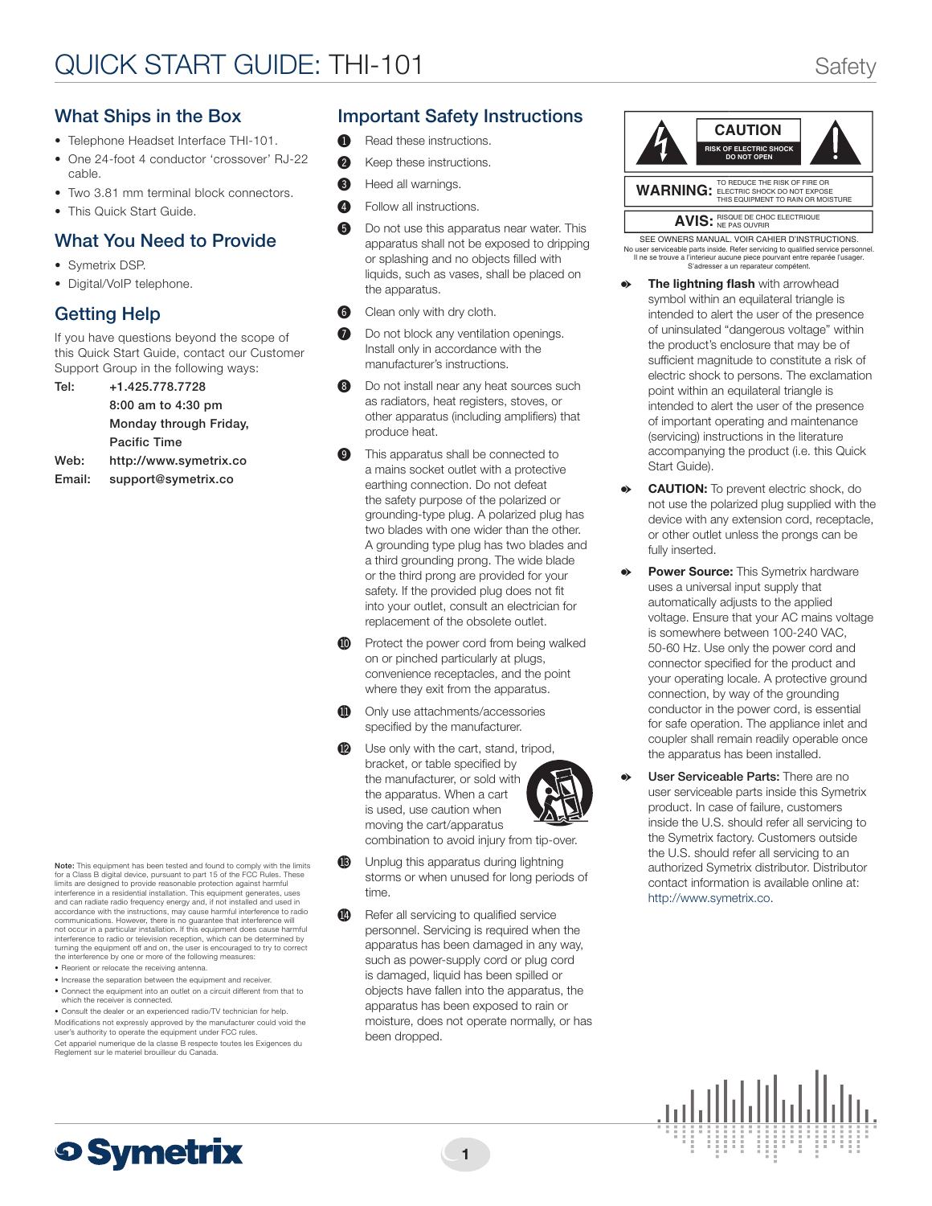### **What Ships in the Box**

- Telephone Headset Interface THI-101.
- One 24-foot 4 conductor 'crossover' RJ-22  $\bullet$ cable
- Two 3.81 mm terminal block connectors.  $\blacksquare$
- This Quick Start Guide.

### **What You Need to Provide**

- Symetrix DSP.
- · Digital/VoIP telephone.

## **Getting Help**

If you have questions beyond the scope of this Quick Start Guide, contact our Customer Support Group in the following ways:

Tel: +1.425.778.7728 8:00 am to 4:30 pm Monday through Friday, Pacific Time Web: http://www.symetrix.co Email: support@symetrix.co

Note: This equipment has been tested and found to comply with the limits **Formal explanation and School Control of the FCC Rules. These**<br>finits are designed to provide reasonable protection against harmful<br>linetference in a residential installation. This equipment generates, uses and can radiate radio frequency energy and, if not installed and used in and can't alude traditions, may cause harmful interference to radio<br>accordance with the instructions, may cause harmful interference to radio<br>communications. However, there is no guarantee that interference will<br>not occur interference to radio or television reception, which can be determined by members to take the equipment off and on, the user is encouraged to try to correct<br>the interference by one or more of the following measures:

- · Reorient or relocate the receiving antenna.
- . Increase the separation between the equipment and receiver. • Connect the equipment into an outlet on a circuit different from that to which the receiver is connected

. Consult the dealer or an experienced radio/TV technician for help. Modifications not expressly approved by the manufacturer could void the user's authority to operate the equipment under FCC rules Cet appariel numerique de la classe B respecte toutes les Exigences du ent sur le materiel brouilleur du Canada.

#### **Important Safety Instructions**

- Read these instructions.
- Keep these instructions. Ω
- Heed all warnings.
- $\Omega$ Follow all instructions.
- Do not use this apparatus near water. This apparatus shall not be exposed to dripping or splashing and no objects filled with liquids, such as vases, shall be placed on the apparatus.
- 6 Clean only with dry cloth.
- Do not block any ventilation openings. Install only in accordance with the manufacturer's instructions.
- 8 Do not install near any heat sources such as radiators, heat registers, stoves, or other apparatus (including amplifiers) that produce heat.
- This apparatus shall be connected to a mains socket outlet with a protective earthing connection. Do not defeat the safety purpose of the polarized or grounding-type plug. A polarized plug has two blades with one wider than the other. A grounding type plug has two blades and a third grounding prong. The wide blade or the third prong are provided for your safety. If the provided plug does not fit into your outlet, consult an electrician for replacement of the obsolete outlet.
- ⋒ Protect the power cord from being walked on or pinched particularly at plugs, convenience receptacles, and the point where they exit from the apparatus.
- Only use attachments/accessories specified by the manufacturer.
- Use only with the cart, stand, tripod, ß. bracket, or table specified by the manufacturer, or sold with the apparatus. When a cart is used, use caution when moving the cart/apparatus combination to avoid injury from tip-over.



- ® Unplug this apparatus during lightning storms or when unused for long periods of time
- **C** Refer all servicing to qualified service personnel. Servicing is required when the apparatus has been damaged in any way. such as power-supply cord or plug cord is damaged, liquid has been spilled or objects have fallen into the apparatus, the apparatus has been exposed to rain or moisture, does not operate normally, or has been dropped.



AVIS: RISQUE DE CHOC ELECTRIQUE SEE OWNERS MANUAL, VOIR CAHIER D'INSTRUCTIONS SEE UWINERS MATROLL, VOITE ON THE LOCATED AND SERVICE PRESSIONED PRESSION IN THE SERVICE PRESSION IN THE SERVICE IN STATE IN STATES IS STATED TO STATE STATES STATES STATES STATES STATES STATES STATES STATES STATES STATES S

- The lightning flash with arrowhead symbol within an equilateral triangle is intended to alert the user of the presence of uninsulated "dangerous voltage" within the product's enclosure that may be of sufficient magnitude to constitute a risk of electric shock to persons. The exclamation
	- point within an equilateral triangle is intended to alert the user of the presence of important operating and maintenance (servicing) instructions in the literature accompanying the product (i.e. this Quick Start Guide)
- **CAUTION:** To prevent electric shock, do not use the polarized plug supplied with the device with any extension cord, receptacle, or other outlet unless the prongs can be fully inserted.
- Power Source: This Symetrix hardware uses a universal input supply that automatically adjusts to the applied voltage. Ensure that your AC mains voltage is somewhere between 100-240 VAC. 50-60 Hz. Use only the power cord and connector specified for the product and your operating locale. A protective ground connection, by way of the grounding conductor in the power cord, is essential for safe operation. The appliance inlet and coupler shall remain readily operable once the apparatus has been installed.
- User Serviceable Parts: There are no user serviceable parts inside this Symetrix product. In case of failure, customers inside the U.S. should refer all servicing to the Symetrix factory. Customers outside the U.S. should refer all servicing to an authorized Symetrix distributor. Distributor contact information is available online at: http://www.symetrix.co.

## **o Symetrix**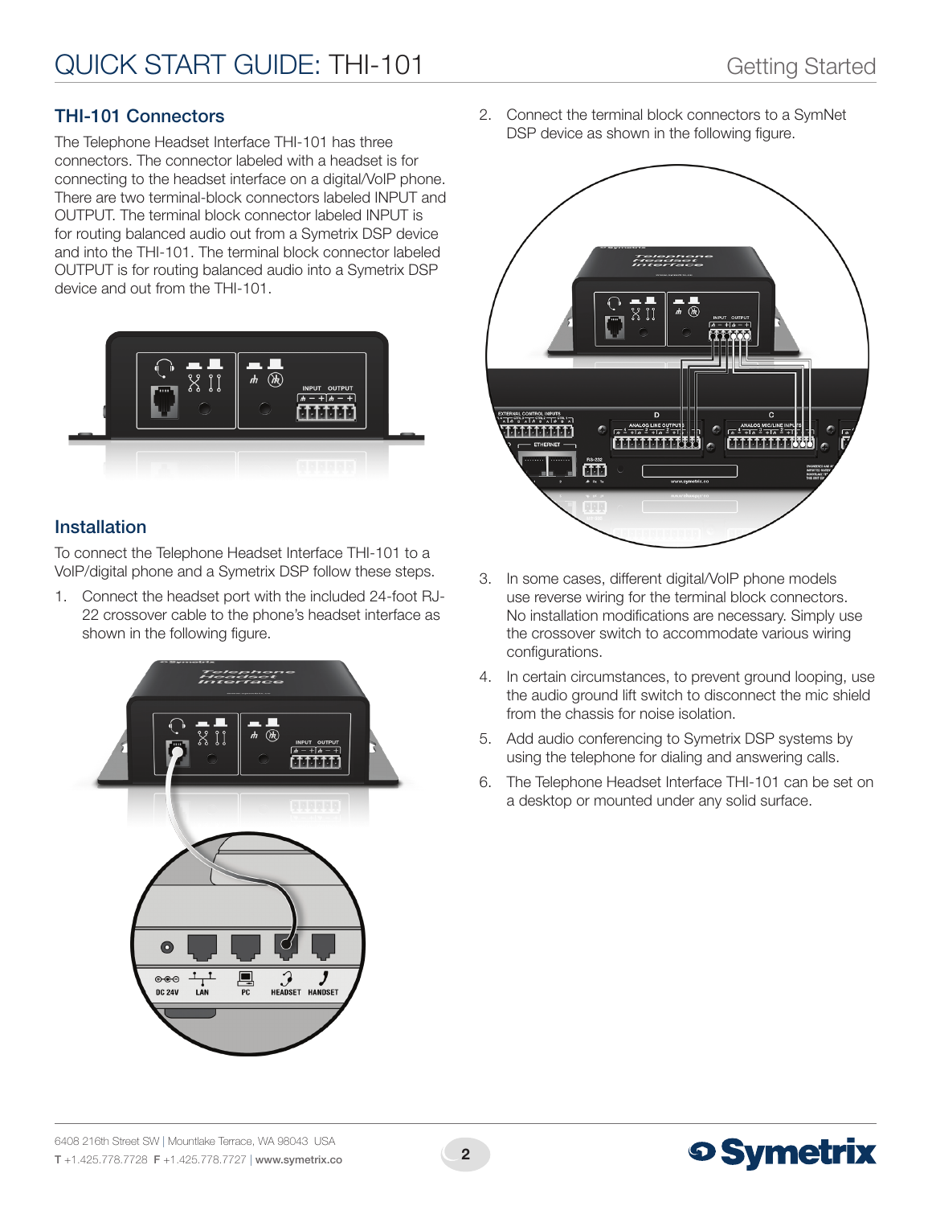## THI-101 Connectors

The Telephone Headset Interface THI-101 has three connectors. The connector labeled with a headset is for connecting to the headset interface on a digital/VoIP phone. There are two terminal-block connectors labeled INPUT and OUTPUT. The terminal block connector labeled INPUT is for routing balanced audio out from a Symetrix DSP device and into the THI-101. The terminal block connector labeled OUTPUT is for routing balanced audio into a Symetrix DSP device and out from the THI-101.



## Installation

To connect the Telephone Headset Interface THI-101 to a VoIP/digital phone and a Symetrix DSP follow these steps.

1. Connect the headset port with the included 24-foot RJ-22 crossover cable to the phone's headset interface as shown in the following figure.



2. Connect the terminal block connectors to a SymNet DSP device as shown in the following figure.



- 3. In some cases, different digital/VoIP phone models use reverse wiring for the terminal block connectors. No installation modifications are necessary. Simply use the crossover switch to accommodate various wiring configurations.
- 4. In certain circumstances, to prevent ground looping, use the audio ground lift switch to disconnect the mic shield from the chassis for noise isolation.
- 5. Add audio conferencing to Symetrix DSP systems by using the telephone for dialing and answering calls.
- 6. The Telephone Headset Interface THI-101 can be set on a desktop or mounted under any solid surface.

# **o Symetrix**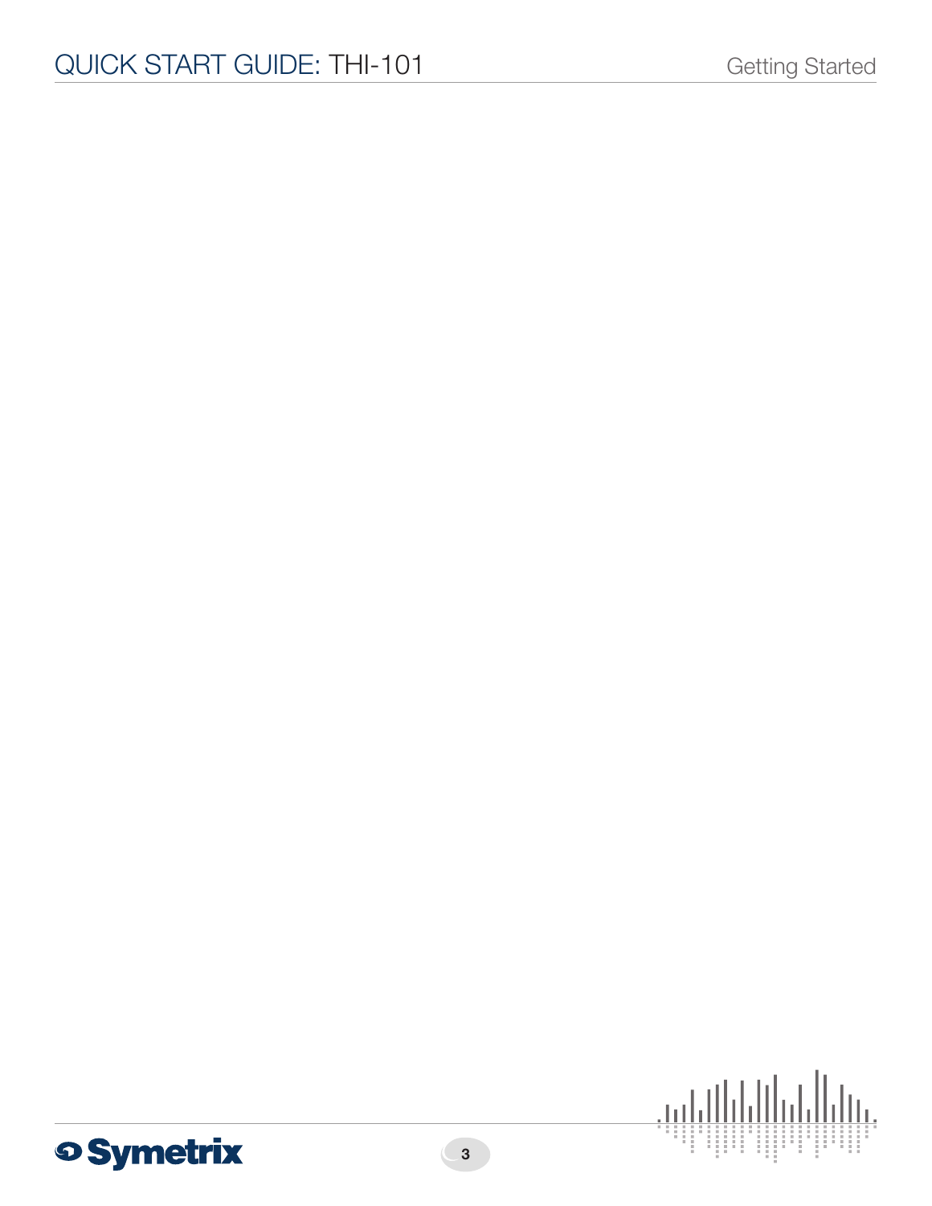## **OSymetrix**